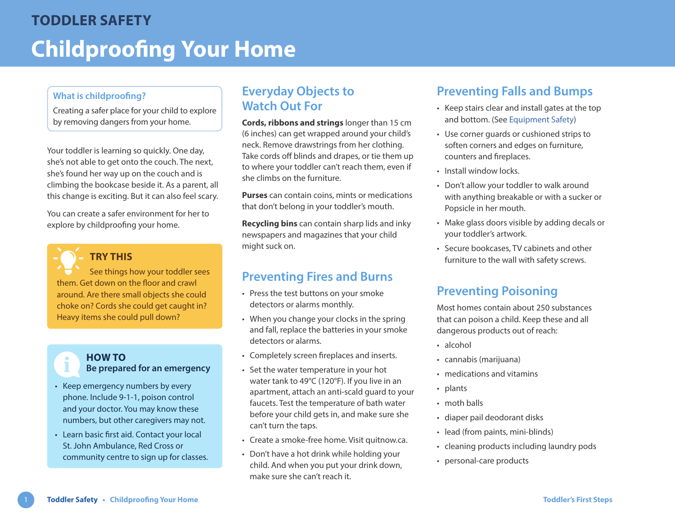### **What is childproofing?**

Creating a safer place for your child to explore by removing dangers from your home.

Your toddler is learning so quickly. One day, she's not able to get onto the couch. The next, she's found her way up on the couch and is climbing the bookcase beside it. As a parent, all this change is exciting. But it can also feel scary.

You can create a safer environment for her to explore by childproofing your home.



## **TRY THIS**

See things how your toddler sees them. Get down on the floor and crawl around. Are there small objects she could choke on? Cords she could get caught in? Heavy items she could pull down?



- Keep emergency numbers by every phone. Include 9-1-1, poison control and your doctor. You may know these numbers, but other caregivers may not.
- Learn basic first aid. Contact your local St. John Ambulance, Red Cross or community centre to sign up for classes.

# **Everyday Objects to Watch Out For**

**Cords, ribbons and strings** longer than 15 cm (6 inches) can get wrapped around your child's neck. Remove drawstrings from her clothing. Take cords off blinds and drapes, or tie them up to where your toddler can't reach them, even if she climbs on the furniture.

**Purses** can contain coins, mints or medications that don't belong in your toddler's mouth.

**Recycling bins** can contain sharp lids and inky newspapers and magazines that your child might suck on.

# **Preventing Fires and Burns**

- Press the test buttons on your smoke detectors or alarms monthly.
- When you change your clocks in the spring and fall, replace the batteries in your smoke detectors or alarms.
- Completely screen fireplaces and inserts.
- Set the water temperature in your hot water tank to 49°C (120°F). If you live in an apartment, attach an anti-scald guard to your faucets. Test the temperature of bath water before your child gets in, and make sure she can't turn the taps.
- Create a smoke-free home. Visit [quitnow.ca](https://www.quitnow.ca).
- Don't have a hot drink while holding your child. And when you put your drink down, make sure she can't reach it.

# **Preventing Falls and Bumps**

- Keep stairs clear and install gates at the top and bottom. (See [Equipment Safety\)](https://www.healthlinkbc.ca/sites/default/files/documents/TFS_equipment-safety.pdf)
- Use corner guards or cushioned strips to soften corners and edges on furniture, counters and fireplaces.
- Install window locks.
- Don't allow your toddler to walk around with anything breakable or with a sucker or Popsicle in her mouth.
- Make glass doors visible by adding decals or your toddler's artwork.
- Secure bookcases, TV cabinets and other furniture to the wall with safety screws.

# **Preventing Poisoning**

Most homes contain about 250 substances that can poison a child. Keep these and all dangerous products out of reach:

- alcohol
- cannabis (marijuana)
- medications and vitamins
- plants
- moth balls
- diaper pail deodorant disks
- lead (from paints, mini-blinds)
- cleaning products including laundry pods
- personal-care products